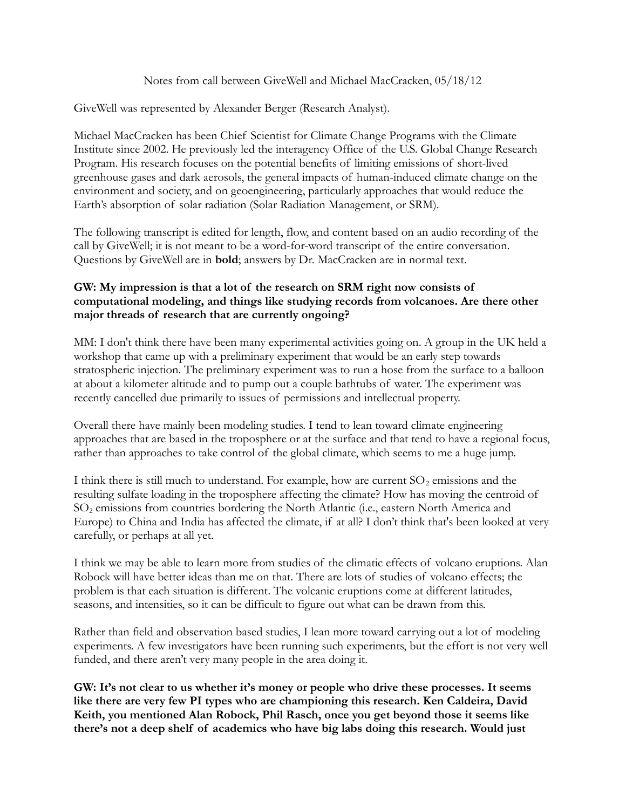### Notes from call between GiveWell and Michael MacCracken, 05/18/12

GiveWell was represented by Alexander Berger (Research Analyst).

Michael MacCracken has been Chief Scientist for Climate Change Programs with the Climate Institute since 2002. He previously led the interagency Office of the U.S. Global Change Research Program. His research focuses on the potential benefits of limiting emissions of short-lived greenhouse gases and dark aerosols, the general impacts of human-induced climate change on the environment and society, and on geoengineering, particularly approaches that would reduce the Earth's absorption of solar radiation (Solar Radiation Management, or SRM).

The following transcript is edited for length, flow, and content based on an audio recording of the call by GiveWell; it is not meant to be a word-for-word transcript of the entire conversation. Questions by GiveWell are in **bold**; answers by Dr. MacCracken are in normal text.

# **GW: My impression is that a lot of the research on SRM right now consists of computational modeling, and things like studying records from volcanoes. Are there other major threads of research that are currently ongoing?**

MM: I don't think there have been many experimental activities going on. A group in the UK held a workshop that came up with a preliminary experiment that would be an early step towards stratospheric injection. The preliminary experiment was to run a hose from the surface to a balloon at about a kilometer altitude and to pump out a couple bathtubs of water. The experiment was recently cancelled due primarily to issues of permissions and intellectual property.

Overall there have mainly been modeling studies. I tend to lean toward climate engineering approaches that are based in the troposphere or at the surface and that tend to have a regional focus, rather than approaches to take control of the global climate, which seems to me a huge jump.

I think there is still much to understand. For example, how are current  $SO_2$  emissions and the resulting sulfate loading in the troposphere affecting the climate? How has moving the centroid of SO2 emissions from countries bordering the North Atlantic (i.e., eastern North America and Europe) to China and India has affected the climate, if at all? I don't think that's been looked at very carefully, or perhaps at all yet.

I think we may be able to learn more from studies of the climatic effects of volcano eruptions. Alan Robock will have better ideas than me on that. There are lots of studies of volcano effects; the problem is that each situation is different. The volcanic eruptions come at different latitudes, seasons, and intensities, so it can be difficult to figure out what can be drawn from this.

Rather than field and observation based studies, I lean more toward carrying out a lot of modeling experiments. A few investigators have been running such experiments, but the effort is not very well funded, and there aren't very many people in the area doing it.

**GW: It's not clear to us whether it's money or people who drive these processes. It seems like there are very few PI types who are championing this research. Ken Caldeira, David Keith, you mentioned Alan Robock, Phil Rasch, once you get beyond those it seems like there's not a deep shelf of academics who have big labs doing this research. Would just**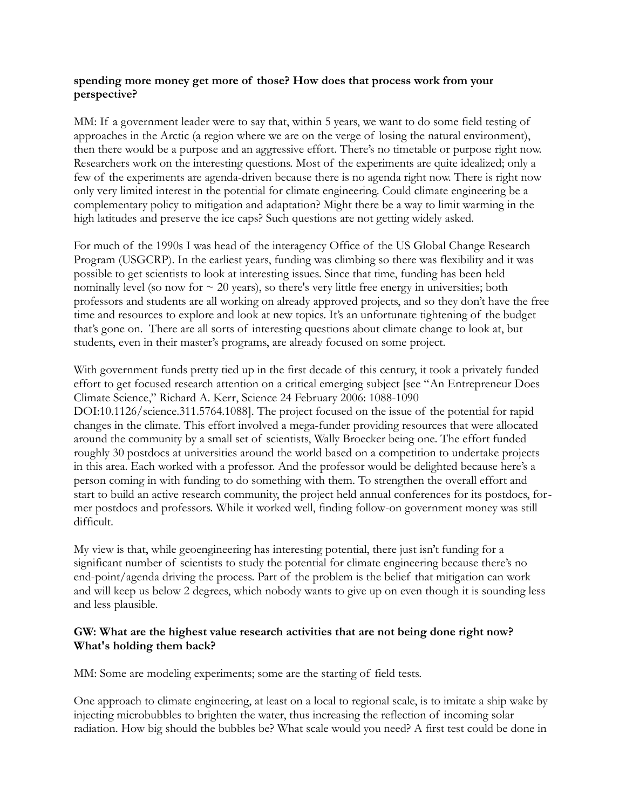## **spending more money get more of those? How does that process work from your perspective?**

MM: If a government leader were to say that, within 5 years, we want to do some field testing of approaches in the Arctic (a region where we are on the verge of losing the natural environment), then there would be a purpose and an aggressive effort. There's no timetable or purpose right now. Researchers work on the interesting questions. Most of the experiments are quite idealized; only a few of the experiments are agenda-driven because there is no agenda right now. There is right now only very limited interest in the potential for climate engineering. Could climate engineering be a complementary policy to mitigation and adaptation? Might there be a way to limit warming in the high latitudes and preserve the ice caps? Such questions are not getting widely asked.

For much of the 1990s I was head of the interagency Office of the US Global Change Research Program (USGCRP). In the earliest years, funding was climbing so there was flexibility and it was possible to get scientists to look at interesting issues. Since that time, funding has been held nominally level (so now for  $\sim$  20 years), so there's very little free energy in universities; both professors and students are all working on already approved projects, and so they don't have the free time and resources to explore and look at new topics. It's an unfortunate tightening of the budget that's gone on. There are all sorts of interesting questions about climate change to look at, but students, even in their master's programs, are already focused on some project.

With government funds pretty tied up in the first decade of this century, it took a privately funded effort to get focused research attention on a critical emerging subject [see "An Entrepreneur Does Climate Science," Richard A. Kerr, Science 24 February 2006: 1088-1090 DOI:10.1126/science.311.5764.1088]. The project focused on the issue of the potential for rapid changes in the climate. This effort involved a mega-funder providing resources that were allocated around the community by a small set of scientists, Wally Broecker being one. The effort funded roughly 30 postdocs at universities around the world based on a competition to undertake projects in this area. Each worked with a professor. And the professor would be delighted because here's a person coming in with funding to do something with them. To strengthen the overall effort and start to build an active research community, the project held annual conferences for its postdocs, former postdocs and professors. While it worked well, finding follow-on government money was still difficult.

My view is that, while geoengineering has interesting potential, there just isn't funding for a significant number of scientists to study the potential for climate engineering because there's no end-point/agenda driving the process. Part of the problem is the belief that mitigation can work and will keep us below 2 degrees, which nobody wants to give up on even though it is sounding less and less plausible.

## **GW: What are the highest value research activities that are not being done right now? What's holding them back?**

MM: Some are modeling experiments; some are the starting of field tests.

One approach to climate engineering, at least on a local to regional scale, is to imitate a ship wake by injecting microbubbles to brighten the water, thus increasing the reflection of incoming solar radiation. How big should the bubbles be? What scale would you need? A first test could be done in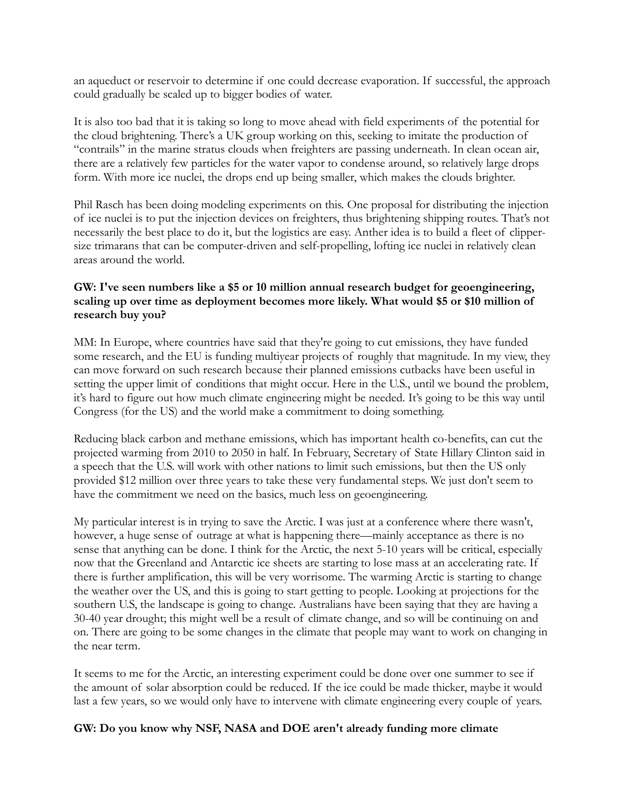an aqueduct or reservoir to determine if one could decrease evaporation. If successful, the approach could gradually be scaled up to bigger bodies of water.

It is also too bad that it is taking so long to move ahead with field experiments of the potential for the cloud brightening. There's a UK group working on this, seeking to imitate the production of "contrails" in the marine stratus clouds when freighters are passing underneath. In clean ocean air, there are a relatively few particles for the water vapor to condense around, so relatively large drops form. With more ice nuclei, the drops end up being smaller, which makes the clouds brighter.

Phil Rasch has been doing modeling experiments on this. One proposal for distributing the injection of ice nuclei is to put the injection devices on freighters, thus brightening shipping routes. That's not necessarily the best place to do it, but the logistics are easy. Anther idea is to build a fleet of clippersize trimarans that can be computer-driven and self-propelling, lofting ice nuclei in relatively clean areas around the world.

# **GW: I've seen numbers like a \$5 or 10 million annual research budget for geoengineering, scaling up over time as deployment becomes more likely. What would \$5 or \$10 million of research buy you?**

MM: In Europe, where countries have said that they're going to cut emissions, they have funded some research, and the EU is funding multiyear projects of roughly that magnitude. In my view, they can move forward on such research because their planned emissions cutbacks have been useful in setting the upper limit of conditions that might occur. Here in the U.S., until we bound the problem, it's hard to figure out how much climate engineering might be needed. It's going to be this way until Congress (for the US) and the world make a commitment to doing something.

Reducing black carbon and methane emissions, which has important health co-benefits, can cut the projected warming from 2010 to 2050 in half. In February, Secretary of State Hillary Clinton said in a speech that the U.S. will work with other nations to limit such emissions, but then the US only provided \$12 million over three years to take these very fundamental steps. We just don't seem to have the commitment we need on the basics, much less on geoengineering.

My particular interest is in trying to save the Arctic. I was just at a conference where there wasn't, however, a huge sense of outrage at what is happening there—mainly acceptance as there is no sense that anything can be done. I think for the Arctic, the next 5-10 years will be critical, especially now that the Greenland and Antarctic ice sheets are starting to lose mass at an accelerating rate. If there is further amplification, this will be very worrisome. The warming Arctic is starting to change the weather over the US, and this is going to start getting to people. Looking at projections for the southern U.S, the landscape is going to change. Australians have been saying that they are having a 30-40 year drought; this might well be a result of climate change, and so will be continuing on and on. There are going to be some changes in the climate that people may want to work on changing in the near term.

It seems to me for the Arctic, an interesting experiment could be done over one summer to see if the amount of solar absorption could be reduced. If the ice could be made thicker, maybe it would last a few years, so we would only have to intervene with climate engineering every couple of years.

## **GW: Do you know why NSF, NASA and DOE aren't already funding more climate**